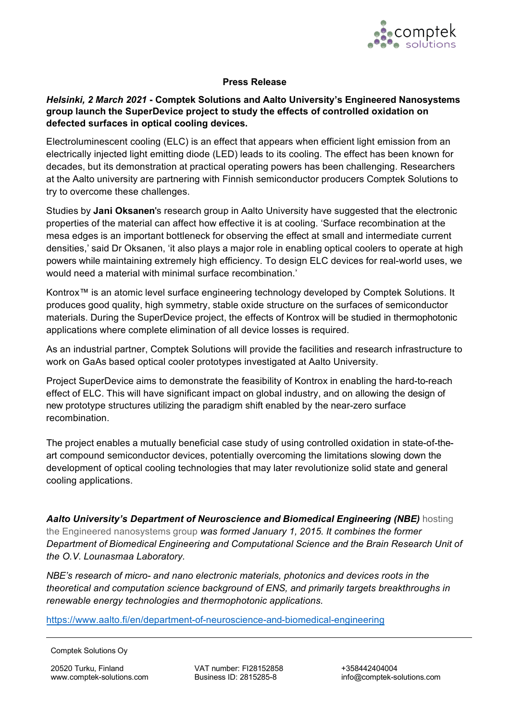

## **Press Release**

## *Helsinki, 2 March 2021* **- Comptek Solutions and Aalto University's Engineered Nanosystems group launch the SuperDevice project to study the effects of controlled oxidation on defected surfaces in optical cooling devices.**

Electroluminescent cooling (ELC) is an effect that appears when efficient light emission from an electrically injected light emitting diode (LED) leads to its cooling. The effect has been known for decades, but its demonstration at practical operating powers has been challenging. Researchers at the Aalto university are partnering with Finnish semiconductor producers Comptek Solutions to try to overcome these challenges.

Studies by **Jani Oksanen**'s research group in Aalto University have suggested that the electronic properties of the material can affect how effective it is at cooling. 'Surface recombination at the mesa edges is an important bottleneck for observing the effect at small and intermediate current densities,' said Dr Oksanen, 'it also plays a major role in enabling optical coolers to operate at high powers while maintaining extremely high efficiency. To design ELC devices for real-world uses, we would need a material with minimal surface recombination.'

Kontrox™ is an atomic level surface engineering technology developed by Comptek Solutions. It produces good quality, high symmetry, stable oxide structure on the surfaces of semiconductor materials. During the SuperDevice project, the effects of Kontrox will be studied in thermophotonic applications where complete elimination of all device losses is required.

As an industrial partner, Comptek Solutions will provide the facilities and research infrastructure to work on GaAs based optical cooler prototypes investigated at Aalto University.

Project SuperDevice aims to demonstrate the feasibility of Kontrox in enabling the hard-to-reach effect of ELC. This will have significant impact on global industry, and on allowing the design of new prototype structures utilizing the paradigm shift enabled by the near-zero surface recombination.

The project enables a mutually beneficial case study of using controlled oxidation in state-of-theart compound semiconductor devices, potentially overcoming the limitations slowing down the development of optical cooling technologies that may later revolutionize solid state and general cooling applications.

*Aalto University's [Department of Neuroscience a](http://becs.aalto.fi/en/)nd Biomedical Engineering (NBE)* hosting the Engineered nanosystems group *was formed January 1, 2015. It combines the former Department of Biomedical Engineering and Computational Science and the [Brain Research Unit](http://lounasmaalab.aalto.fi/en/research/brain_research_unit/) of the O.V. Lounasmaa Laboratory.* 

*NBE's research of micro- and nano electronic materials, photonics and devices roots in the [theoretical and computation science background of ENS, and primarily](https://www.aalto.fi/en/department-of-neuroscience-and-biomedical-engineering) targets breakthroughs in renewable energy technologies and thermophotonic applications.* 

https://www.aalto.fi/en/department-of-neuroscience-and-biomedical-engineering

20520 Turku, Finland [www.comptek-solutions.com](http://www.comptek-solutions.com/)  VAT number: FI28152858 Business ID: 2815285-8

Comptek Solutions Oy